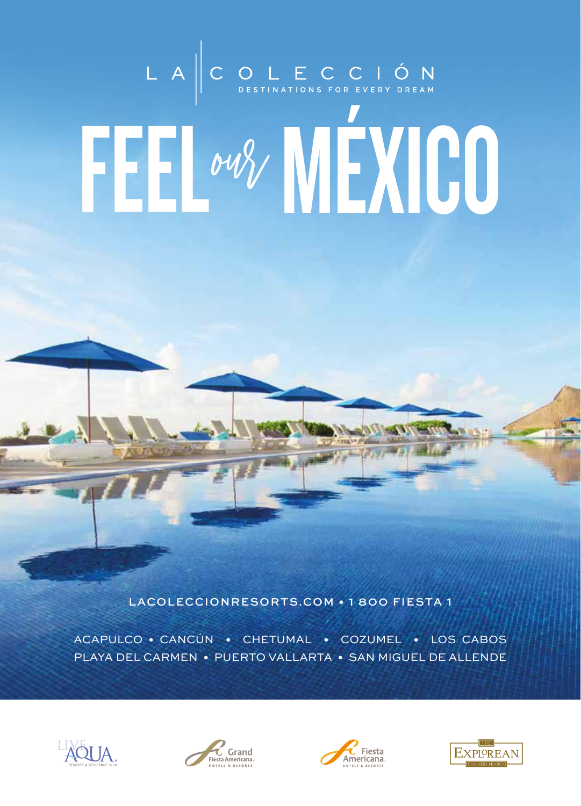# LA COLECCIÓN FEL MY MEXICO

LACOLECCIONRESORTS.COM . 1800 FIESTA 1

ACAPULCO · CANCÚN · CHETUMAL · COZUMEL · LOS CABOS PLAYA DEL CARMEN · PUERTO VALLARTA · SAN MIGUEL DE ALLENDE







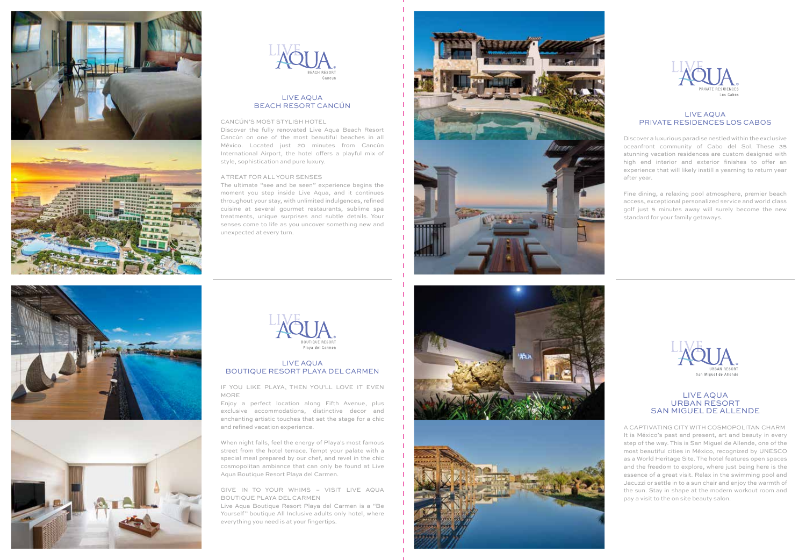



# LIVE AQUA BEACH RESORT CANCÚN

### CANCÚN'S MOST STYLISH HOTEL

Discover the fully renovated Live Aqua Beach Resort Cancún on one of the most beautiful beaches in all México. Located just 20 minutes from Cancún International Airport, the hotel offers a playful mix of style, sophistication and pure luxury.

## A TREAT FOR ALL YOUR SENSES

The ultimate "see and be seen" experience begins the moment you step inside Live Aqua, and it continues throughout your stay, with unlimited indulgences, refined cuisine at several gourmet restaurants, sublime spa treatments, unique surprises and subtle details. Your senses come to life as you uncover something new and unexpected at every turn.





## LIVE AQUA PRIVATE RESIDENCES LOS CABOS

Discover a luxurious paradise nestled within the exclusive oceanfront community of Cabo del Sol. These 35 stunning vacation residences are custom designed with high end interior and exterior finishes to offer an experience that will likely instill a yearning to return year after year.

Fine dining, a relaxing pool atmosphere, premier beach access, exceptional personalized service and world class golf just 5 minutes away will surely become the new standard for your family getaways.







# LIVE AQUA BOUTIQUE RESORT PLAYA DEL CARMEN

IF YOU LIKE PLAYA, THEN YOU'LL LOVE IT EVEN MORE

Enjoy a perfect location along Fifth Avenue, plus exclusive accommodations, distinctive decor and enchanting artistic touches that set the stage for a chic and refined vacation experience.

When night falls, feel the energy of Playa's most famous street from the hotel terrace. Tempt your palate with a special meal prepared by our chef, and revel in the chic cosmopolitan ambiance that can only be found at Live Aqua Boutique Resort Playa del Carmen.

GIVE IN TO YOUR WHIMS – VISIT LIVE AQUA BOUTIQUE PLAYA DEL CARMEN

Live Aqua Boutique Resort Playa del Carmen is a "Be Yourself" boutique All Inclusive adults only hotel, where everything you need is at your fingertips.







## LIVE AQUA URBAN RESORT SAN MIGUEL DE ALLENDE

A CAPTIVATING CITY WITH COSMOPOLITAN CHARM It is México's past and present, art and beauty in every step of the way. This is San Miguel de Allende, one of the most beautiful cities in México, recognized by UNESCO as a World Heritage Site. The hotel features open spaces and the freedom to explore, where just being here is the essence of a great visit. Relax in the swimming pool and Jacuzzi or settle in to a sun chair and enjoy the warmth of the sun. Stay in shape at the modern workout room and pay a visit to the on site beauty salon.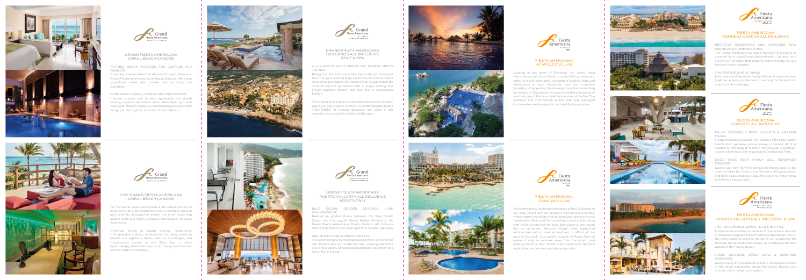



## GRAND FIESTA AMERICANA CORAL BEACH CANCÚN

REFINED BEACH VACATION FOR COUPLES AND FAMILIES

Crowning a hidden stretch of white sand beach, the iconic Grand Fiesta Americana Coral Beach Cancún offers 602 oceanfront suites with private balcony facing the Caribbean.

EUROPEAN CUISINE, UNIQUE SPA TREATMENTS Upscale couples and families appreciate the stylish setting, majestic \$8 million dollar Gem Spa, high tech KidZ Club, friendly ambiance and amazing pool deck that brings people together for a day of fun in the sun.







# Ú BY GRAND FIESTA AMERICANA CORAL BEACH CANCÚN

"Ú" by Grand Fiesta Americana is set within one of the most iconic all suite oceanfront luxury resorts in Cancún and carefully designed to please the most discerning guests seeking a highly exclusive and Únique, inclusive experience.

Únlimited dining at award winning restaurants, Únforgettable culinary experiences including premium brands and signature drinks, with no surcharges, and Únrestricted access to the Gem Spa 2 hours hydrotherapy ritual, water sports and many more five star services with no surcharge.



## GRAND FIESTA AMERICANA LOS CABOS ALL INCLUSIVE GOLF & SPA

A LUXURIOUS OASIS WHERE THE DESERT MEETS

THE SEA

Rising from the white sand beaches at the southernmost







tip of the peninsula of Baja California, the Grand Fiesta Americana Los Cabos All Inclusive Golf & Spa makes the most of nature's perfection with a unique setting that brings together desert, sea and sun in spectacular fashion.

Two championship golf courses a few steps away, a beach where you can practice snorkel or a WINE-BASED BODY TREATMENT at Somma WineSpa, are some of the experiences to enjoy for a memorable stay.





## GRAND FIESTA AMERICANA PUERTO VALLARTA ALL INCLUSIVE ADULTS ONLY

BLUE OCEAN, GOLDEN BEACHES, LUSH MOUNTAINSIDE Nestled on golden shores between the blue Pacific Ocean and the rugged Sierra Madre Mountains, the Grand Fiesta Americana Puerto Vallarta All Inclusive Adults Only resort is an ideal spot for a vacation getaway.

Fiesta Americana Cozumel All Inclusive offers the hidden beach town getaway you've always dreamed of. It is located on the largest island in the Mexican Caribbean, close to downtown San Miguel and Chankanaab Park.

UNLIMITED FOOD, DRINKS AND FUN The resort is home to the largest convention center in the city. There's also an on-site day spa, relaxing swimming pool and a variety of restaurants and bars, together for a day of fun in the sun.



THE TRUE MÉXICO COMES TO LIFE IN STYLE Fiesta Americana Puerto Vallarta All Inclusive & Spa sits on the picturesque shores of "Bahía de Banderas", one of the most beautiful coves in the world, surrounded by the Western Sierra Madre Mountains, and bathed in the blue waters of the Pacific Ocean.

FIESTA AMERICANA ACAPULCO VILLAS

Located in the heart of Condesa, our iconic hotel welcomes you and your family to make lifelong memories. With our world-class staff, unbeatable location, bars and restaurants at your fingertips, plus the incredible backdrop of Acapulco, Fiesta Americana has something for everyone. Our beach, two pools and three restaurants overlook one of the most spectacular view of the bay. The spacious and comfortable Suites with fully equipped kitchenettes are designed for an ideal family vacation.

# FIESTA AMERICANA CANCÚN VILLAS

Enjoy the tantalizing turquoise waters of the Caribbean of our cozy resort with its spacious and luminous Suites, where warm hospitality and personalized service are the trademarks. Removed from hustling crowds and bursting with thrilling activities for kids, this resort is very much like an authentic Mexican village, with traditional architecture and a quiet atmosphere to afford all the privacy you seek. Our superb location in Punta Cancun makes it only 25 minutes away from the airport and walking distance from all the main attractions, the best nightclubs, restaurants and shopping malls.









# FIESTA AMERICANA CONDESA CANCÚN ALL INCLUSIVE

RECENTLY RENOVATED AND UNVEILING NEW PREMIUM ACCOMMODATIONS:

The Fiesta Americana Condesa Cancún All Inclusive is crowned by a magnificent thatched-palm "palapa" roof over the entire lobby, that instantly sets the stage for your Mexican beach vacation.

FUN FOR THE WHOLE FAMILY

Kids, teens and the whole family will spend treasured time together, playing on the beach, sunning by the pool and relaxing in the hotel spa.



# FIESTA AMERICANA COZUMEL ALL INCLUSIVE

ENJOY COZUMEL'S BEST SUNSETS & AMAZING MEALS

GOOD TIMES YOUR FAMILY WILL REMEMBER FOREVER

Guests can flow from the terrace swimming pool to the open air lobby bar, from the coffee bar to the game room, and back again, making it easy for everyone in the family to find their happy place.



# FIESTA AMERICANA PUERTO VALLARTA ALL INCLUSIVE & SPA

FRESH SEAFOOD, LIVELY BARS & SOOTHING MASSAGES

Guests enjoy an exceptional culinary experience in each of the hotel restaurants, where the colors, flavors, and aromas mix to delight your palate.